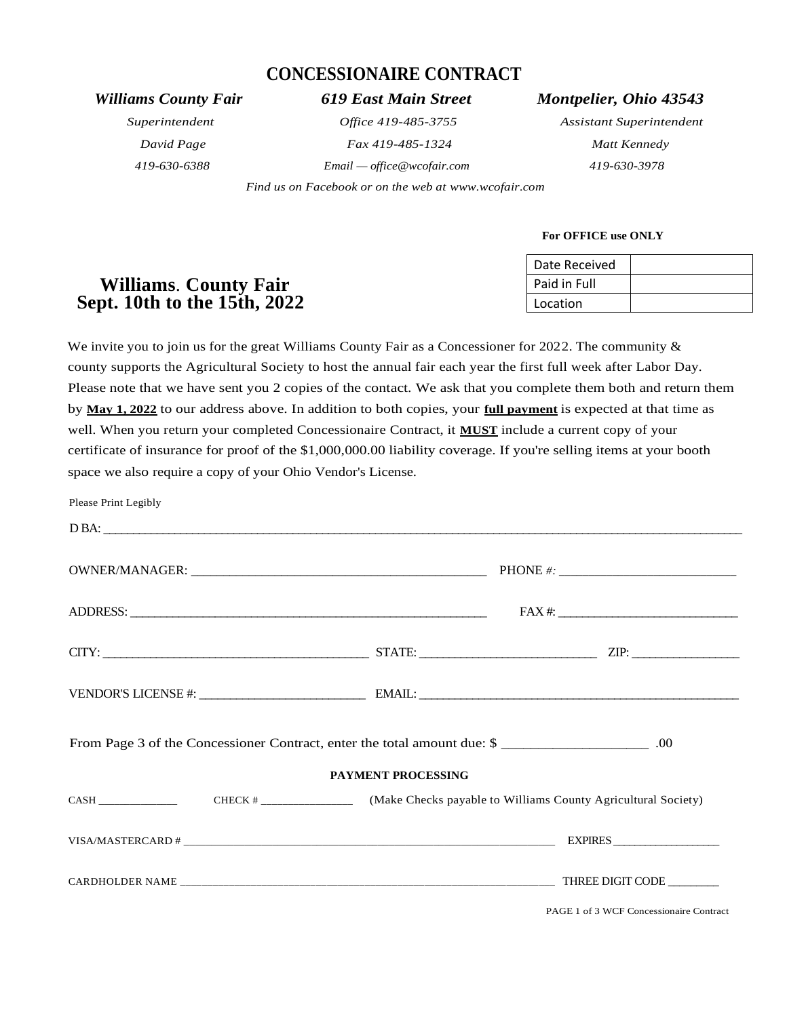# **CONCESSIONAIRE CONTRACT**

*419-630-6388 Email — office@wcofair.com 419-630-3978*

 *Find us on Facebook or on the web at [www.wcofair.com](http://www.wcofair.com/)*

# *Williams County Fair 619 East Main Street Montpelier, Ohio 43543*

*Superintendent Office 419-485-3755 Assistant Superintendent David Page Fax 419-485-1324 Matt Kennedy*

# **For OFFICE use ONLY**

|                              | Date Received |  |
|------------------------------|---------------|--|
| <b>Williams. County Fair</b> | Paid in Full  |  |
| Sept. 10th to the 15th, 2022 | Location      |  |

We invite you to join us for the great Williams County Fair as a Concessioner for 2022. The community  $\&$ county supports the Agricultural Society to host the annual fair each year the first full week after Labor Day. Please note that we have sent you 2 copies of the contact. We ask that you complete them both and return them by **May 1, 2022** to our address above. In addition to both copies, your **full payment** is expected at that time as well. When you return your completed Concessionaire Contract, it **MUST** include a current copy of your certificate of insurance for proof of the \$1,000,000.00 liability coverage. If you're selling items at your booth space we also require a copy of your Ohio Vendor's License.

| Please Print Legibly                                                     |  |  |                     |  |  |
|--------------------------------------------------------------------------|--|--|---------------------|--|--|
|                                                                          |  |  |                     |  |  |
|                                                                          |  |  |                     |  |  |
|                                                                          |  |  | $\text{FAX} \#: \_$ |  |  |
|                                                                          |  |  |                     |  |  |
|                                                                          |  |  |                     |  |  |
| From Page 3 of the Concessioner Contract, enter the total amount due: \$ |  |  |                     |  |  |
| <b>PAYMENT PROCESSING</b>                                                |  |  |                     |  |  |
|                                                                          |  |  |                     |  |  |
|                                                                          |  |  |                     |  |  |
|                                                                          |  |  |                     |  |  |

PAGE 1 of 3 WCF Concessionaire Contract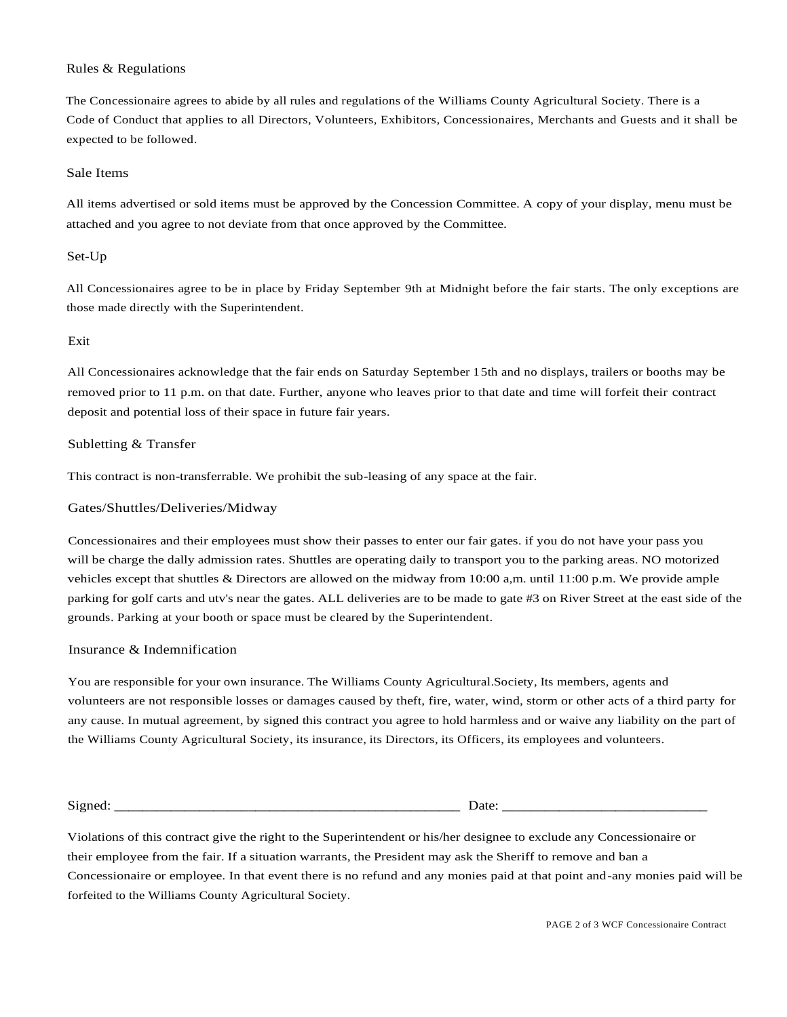# Rules & Regulations

The Concessionaire agrees to abide by all rules and regulations of the Williams County Agricultural Society. There is a Code of Conduct that applies to all Directors, Volunteers, Exhibitors, Concessionaires, Merchants and Guests and it shall be expected to be followed.

### Sale Items

All items advertised or sold items must be approved by the Concession Committee. A copy of your display, menu must be attached and you agree to not deviate from that once approved by the Committee.

# Set-Up

All Concessionaires agree to be in place by Friday September 9th at Midnight before the fair starts. The only exceptions are those made directly with the Superintendent.

# Exit

All Concessionaires acknowledge that the fair ends on Saturday September 15th and no displays, trailers or booths may be removed prior to 11 p.m. on that date. Further, anyone who leaves prior to that date and time will forfeit their contract deposit and potential loss of their space in future fair years.

### Subletting & Transfer

This contract is non-transferrable. We prohibit the sub-leasing of any space at the fair.

### Gates/Shuttles/Deliveries/Midway

Concessionaires and their employees must show their passes to enter our fair gates. if you do not have your pass you will be charge the dally admission rates. Shuttles are operating daily to transport you to the parking areas. NO motorized vehicles except that shuttles & Directors are allowed on the midway from 10:00 a,m. until 11:00 p.m. We provide ample parking for golf carts and utv's near the gates. ALL deliveries are to be made to gate #3 on River Street at the east side of the grounds. Parking at your booth or space must be cleared by the Superintendent.

#### Insurance & Indemnification

You are responsible for your own insurance. The Williams County Agricultural.Society, Its members, agents and volunteers are not responsible losses or damages caused by theft, fire, water, wind, storm or other acts of a third party for any cause. In mutual agreement, by signed this contract you agree to hold harmless and or waive any liability on the part of the Williams County Agricultural Society, its insurance, its Directors, its Officers, its employees and volunteers.

Signed: \_\_\_\_\_\_\_\_\_\_\_\_\_\_\_\_\_\_\_\_\_\_\_\_\_\_\_\_\_\_\_\_\_\_\_\_\_\_\_\_\_\_\_\_\_\_\_\_\_ Date: \_\_\_\_\_\_\_\_\_\_\_\_\_\_\_\_\_\_\_\_\_\_\_\_\_\_\_\_\_

Violations of this contract give the right to the Superintendent or his/her designee to exclude any Concessionaire or their employee from the fair. If a situation warrants, the President may ask the Sheriff to remove and ban a Concessionaire or employee. In that event there is no refund and any monies paid at that point and-any monies paid will be forfeited to the Williams County Agricultural Society.